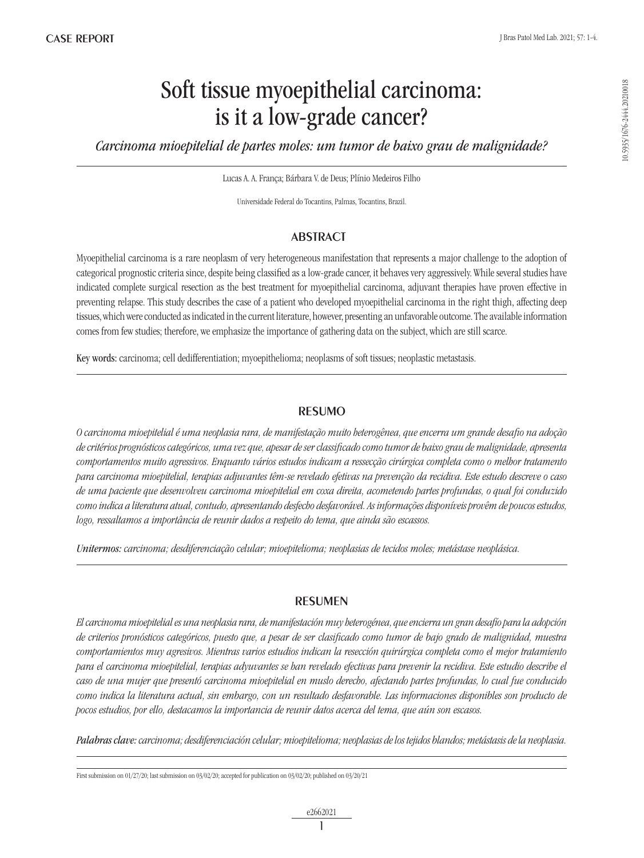10.5935/1676-2444.20210018

10.5935/1676-2444.20210018

# Soft tissue myoepithelial carcinoma: is it a low-grade cancer?

*Carcinoma mioepitelial de partes moles: um tumor de baixo grau de malignidade?*

Lucas A. A. França; Bárbara V. de Deus; Plínio Medeiros Filho

Universidade Federal do Tocantins, Palmas, Tocantins, Brazil.

# **ABSTRACT**

Myoepithelial carcinoma is a rare neoplasm of very heterogeneous manifestation that represents a major challenge to the adoption of categorical prognostic criteria since, despite being classified as a low-grade cancer, it behaves very aggressively. While several studies have indicated complete surgical resection as the best treatment for myoepithelial carcinoma, adjuvant therapies have proven effective in preventing relapse. This study describes the case of a patient who developed myoepithelial carcinoma in the right thigh, affecting deep tissues, which were conducted as indicated in the current literature, however, presenting an unfavorable outcome. The available information comes from few studies; therefore, we emphasize the importance of gathering data on the subject, which are still scarce.

Key words: carcinoma; cell dedifferentiation; myoepithelioma; neoplasms of soft tissues; neoplastic metastasis.

# RESUMO

*O carcinoma mioepitelial é uma neoplasia rara, de manifestação muito heterogênea, que encerra um grande desafio na adoção de critérios prognósticos categóricos, uma vez que, apesar de ser classificado como tumor de baixo grau de malignidade, apresenta comportamentos muito agressivos. Enquanto vários estudos indicam a ressecção cirúrgica completa como o melhor tratamento para carcinoma mioepitelial, terapias adjuvantes têm-se revelado efetivas na prevenção da recidiva. Este estudo descreve o caso de uma paciente que desenvolveu carcinoma mioepitelial em coxa direita, acometendo partes profundas, o qual foi conduzido como indica a literatura atual, contudo, apresentando desfecho desfavorável. As informações disponíveis provêm de poucos estudos, logo, ressaltamos a importância de reunir dados a respeito do tema, que ainda são escassos.*

*Unitermos: carcinoma; desdiferenciação celular; mioepitelioma; neoplasias de tecidos moles; metástase neoplásica.*

# RESUMEN

*El carcinoma mioepitelial es una neoplasia rara, de manifestación muy heterogénea, que encierra un gran desafío para la adopción de criterios pronósticos categóricos, puesto que, a pesar de ser clasificado como tumor de bajo grado de malignidad, muestra comportamientos muy agresivos. Mientras varios estudios indican la resección quirúrgica completa como el mejor tratamiento para el carcinoma mioepitelial, terapias adyuvantes se han revelado efectivas para prevenir la recidiva. Este estudio describe el caso de una mujer que presentó carcinoma mioepitelial en muslo derecho, afectando partes profundas, lo cual fue conducido como indica la literatura actual, sin embargo, con un resultado desfavorable. Las informaciones disponibles son producto de pocos estudios, por ello, destacamos la importancia de reunir datos acerca del tema, que aún son escasos.*

*Palabras clave: carcinoma; desdiferenciación celular; mioepitelioma; neoplasias de los tejidos blandos; metástasis de la neoplasia.*

First submission on 01/27/20; last submission on 03/02/20; accepted for publication on 03/02/20; published on 03/20/21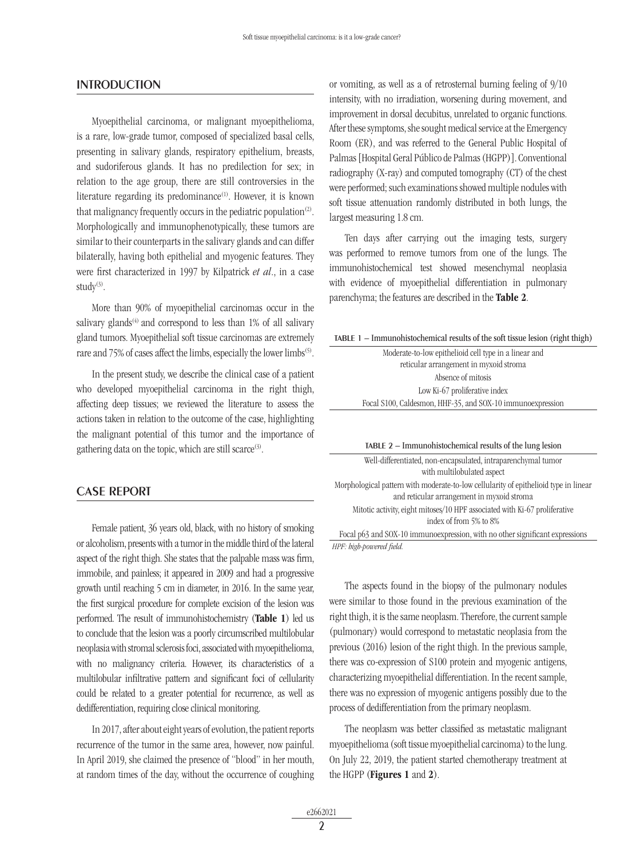### **INTRODUCTION**

Myoepithelial carcinoma, or malignant myoepithelioma, is a rare, low-grade tumor, composed of specialized basal cells, presenting in salivary glands, respiratory epithelium, breasts, and sudoriferous glands. It has no predilection for sex; in relation to the age group, there are still controversies in the literature regarding its predominance<sup>(1)</sup>. However, it is known that malignancy frequently occurs in the pediatric population<sup>(2)</sup>. Morphologically and immunophenotypically, these tumors are similar to their counterparts in the salivary glands and can differ bilaterally, having both epithelial and myogenic features. They were first characterized in 1997 by Kilpatrick *et al*., in a case study<sup>(3)</sup>.

More than 90% of myoepithelial carcinomas occur in the salivary glands<sup> $(4)$ </sup> and correspond to less than 1% of all salivary gland tumors. Myoepithelial soft tissue carcinomas are extremely rare and 75% of cases affect the limbs, especially the lower limbs<sup>(5)</sup>.

In the present study, we describe the clinical case of a patient who developed myoepithelial carcinoma in the right thigh, affecting deep tissues; we reviewed the literature to assess the actions taken in relation to the outcome of the case, highlighting the malignant potential of this tumor and the importance of gathering data on the topic, which are still scarce<sup>(3)</sup>.

## CASE REPORT

Female patient, 36 years old, black, with no history of smoking or alcoholism, presents with a tumor in the middle third of the lateral aspect of the right thigh. She states that the palpable mass was firm, immobile, and painless; it appeared in 2009 and had a progressive growth until reaching 5 cm in diameter, in 2016. In the same year, the first surgical procedure for complete excision of the lesion was performed. The result of immunohistochemistry (Table 1) led us to conclude that the lesion was a poorly circumscribed multilobular neoplasia with stromal sclerosis foci, associated with myoepithelioma, with no malignancy criteria. However, its characteristics of a multilobular infiltrative pattern and significant foci of cellularity could be related to a greater potential for recurrence, as well as dedifferentiation, requiring close clinical monitoring.

In 2017, after about eight years of evolution, the patient reports recurrence of the tumor in the same area, however, now painful. In April 2019, she claimed the presence of "blood" in her mouth, at random times of the day, without the occurrence of coughing or vomiting, as well as a of retrosternal burning feeling of 9/10 intensity, with no irradiation, worsening during movement, and improvement in dorsal decubitus, unrelated to organic functions. After these symptoms, she sought medical service at the Emergency Room (ER), and was referred to the General Public Hospital of Palmas [Hospital Geral Público de Palmas (HGPP)]. Conventional radiography (X-ray) and computed tomography (CT) of the chest were performed; such examinations showed multiple nodules with soft tissue attenuation randomly distributed in both lungs, the largest measuring 1.8 cm.

Ten days after carrying out the imaging tests, surgery was performed to remove tumors from one of the lungs. The immunohistochemical test showed mesenchymal neoplasia with evidence of myoepithelial differentiation in pulmonary parenchyma; the features are described in the Table 2.

| TABLE 1 - Immunohistochemical results of the soft tissue lesion (right thigh) |  |  |  |  |  |
|-------------------------------------------------------------------------------|--|--|--|--|--|
|-------------------------------------------------------------------------------|--|--|--|--|--|

| Moderate-to-low epithelioid cell type in a linear and       |  |
|-------------------------------------------------------------|--|
| reticular arrangement in myxoid stroma                      |  |
| Absence of mitosis                                          |  |
| Low Ki-67 proliferative index                               |  |
| Focal S100, Caldesmon, HHF-35, and SOX-10 immuno expression |  |
|                                                             |  |

| TABLE 2 – Immunohistochemical results of the lung lesion                                                                           |  |  |  |
|------------------------------------------------------------------------------------------------------------------------------------|--|--|--|
| Well-differentiated, non-encapsulated, intraparenchymal tumor<br>with multilobulated aspect                                        |  |  |  |
| Morphological pattern with moderate-to-low cellularity of epithelioid type in linear<br>and reticular arrangement in myxoid stroma |  |  |  |
| Mitotic activity, eight mitoses/10 HPF associated with Ki-67 proliferative<br>index of from 5% to 8%                               |  |  |  |
| Focal p63 and SOX-10 immunoexpression, with no other significant expressions                                                       |  |  |  |

*HPF: high-powered field.*

The aspects found in the biopsy of the pulmonary nodules were similar to those found in the previous examination of the right thigh, it is the same neoplasm. Therefore, the current sample (pulmonary) would correspond to metastatic neoplasia from the previous (2016) lesion of the right thigh. In the previous sample, there was co-expression of S100 protein and myogenic antigens, characterizing myoepithelial differentiation. In the recent sample, there was no expression of myogenic antigens possibly due to the process of dedifferentiation from the primary neoplasm.

The neoplasm was better classified as metastatic malignant myoepithelioma (soft tissue myoepithelial carcinoma) to the lung. On July 22, 2019, the patient started chemotherapy treatment at the HGPP (Figures 1 and 2).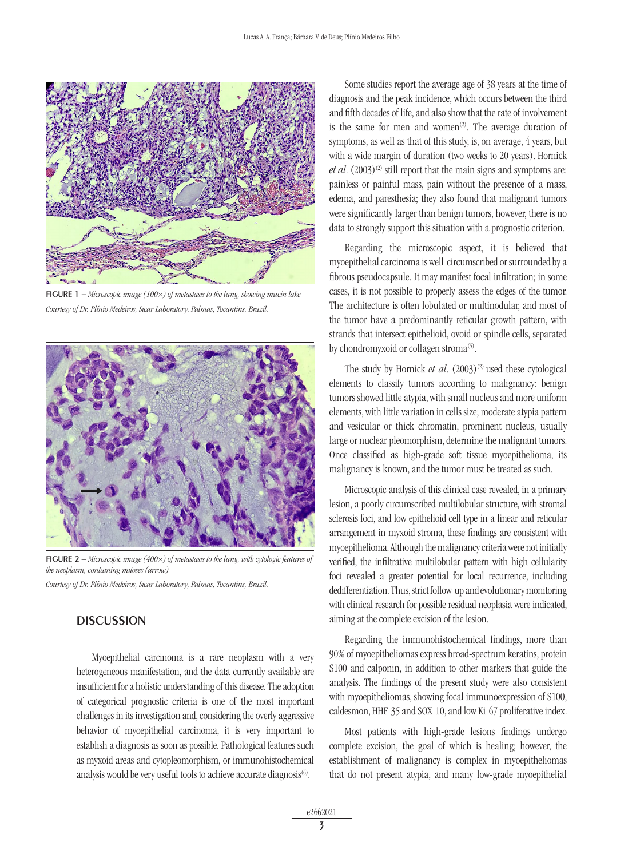

FIGURE 1 – *Microscopic image (100×) of metastasis to the lung, showing mucin lake Courtesy of Dr. Plínio Medeiros, Sicar Laboratory, Palmas, Tocantins, Brazil.*



FIGURE 2 – *Microscopic image (400×) of metastasis to the lung, with cytologic features of the neoplasm, containing mitoses (arrow)*

*Courtesy of Dr. Plínio Medeiros, Sicar Laboratory, Palmas, Tocantins, Brazil.*

# **DISCUSSION**

Myoepithelial carcinoma is a rare neoplasm with a very heterogeneous manifestation, and the data currently available are insufficient for a holistic understanding of this disease. The adoption of categorical prognostic criteria is one of the most important challenges in its investigation and, considering the overly aggressive behavior of myoepithelial carcinoma, it is very important to establish a diagnosis as soon as possible. Pathological features such as myxoid areas and cytopleomorphism, or immunohistochemical analysis would be very useful tools to achieve accurate diagnosis<sup>(6)</sup>.

Some studies report the average age of 38 years at the time of diagnosis and the peak incidence, which occurs between the third and fifth decades of life, and also show that the rate of involvement is the same for men and women<sup>(2)</sup>. The average duration of symptoms, as well as that of this study, is, on average, 4 years, but with a wide margin of duration (two weeks to 20 years). Hornick *et al.*  $(2003)^{(2)}$  still report that the main signs and symptoms are: painless or painful mass, pain without the presence of a mass, edema, and paresthesia; they also found that malignant tumors were significantly larger than benign tumors, however, there is no data to strongly support this situation with a prognostic criterion.

Regarding the microscopic aspect, it is believed that myoepithelial carcinoma is well-circumscribed or surrounded by a fibrous pseudocapsule. It may manifest focal infiltration; in some cases, it is not possible to properly assess the edges of the tumor. The architecture is often lobulated or multinodular, and most of the tumor have a predominantly reticular growth pattern, with strands that intersect epithelioid, ovoid or spindle cells, separated by chondromyxoid or collagen stroma<sup>(5)</sup>.

The study by Hornick *et al.* (2003)<sup>(2)</sup> used these cytological elements to classify tumors according to malignancy: benign tumors showed little atypia, with small nucleus and more uniform elements, with little variation in cells size; moderate atypia pattern and vesicular or thick chromatin, prominent nucleus, usually large or nuclear pleomorphism, determine the malignant tumors. Once classified as high-grade soft tissue myoepithelioma, its malignancy is known, and the tumor must be treated as such.

Microscopic analysis of this clinical case revealed, in a primary lesion, a poorly circumscribed multilobular structure, with stromal sclerosis foci, and low epithelioid cell type in a linear and reticular arrangement in myxoid stroma, these findings are consistent with myoepithelioma. Although the malignancy criteria were not initially verified, the infiltrative multilobular pattern with high cellularity foci revealed a greater potential for local recurrence, including dedifferentiation. Thus, strict follow-up and evolutionary monitoring with clinical research for possible residual neoplasia were indicated, aiming at the complete excision of the lesion.

Regarding the immunohistochemical findings, more than 90% of myoepitheliomas express broad-spectrum keratins, protein S100 and calponin, in addition to other markers that guide the analysis. The findings of the present study were also consistent with myoepitheliomas, showing focal immunoexpression of S100, caldesmon, HHF-35 and SOX-10, and low Ki-67 proliferative index.

Most patients with high-grade lesions findings undergo complete excision, the goal of which is healing; however, the establishment of malignancy is complex in myoepitheliomas that do not present atypia, and many low-grade myoepithelial